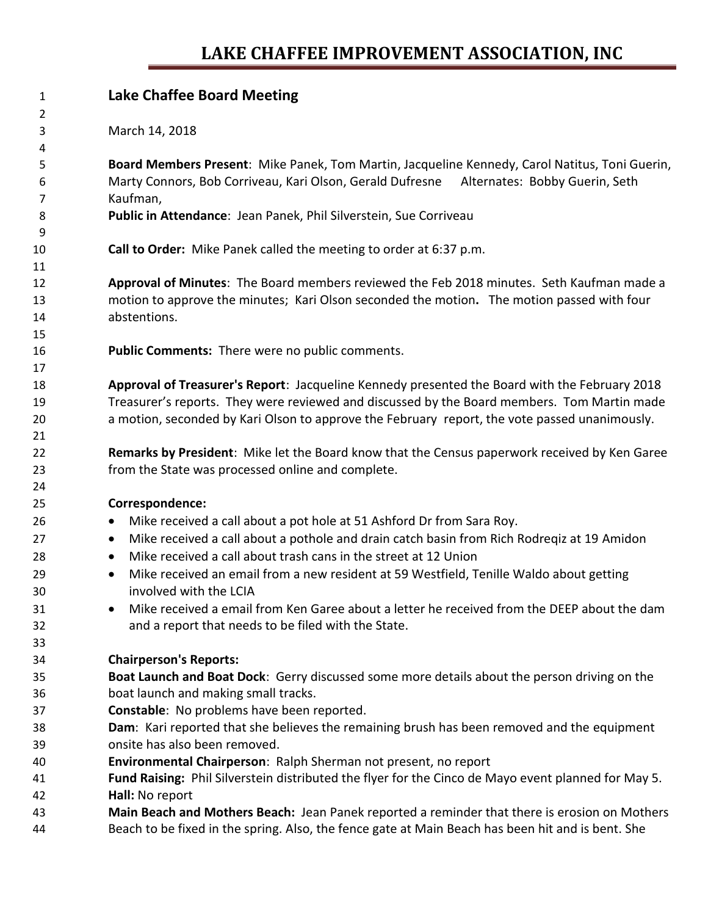## **LAKE CHAFFEE IMPROVEMENT ASSOCIATION, INC**

| 1        | <b>Lake Chaffee Board Meeting</b>                                                                                     |  |  |  |  |  |
|----------|-----------------------------------------------------------------------------------------------------------------------|--|--|--|--|--|
| 2        |                                                                                                                       |  |  |  |  |  |
| 3        | March 14, 2018                                                                                                        |  |  |  |  |  |
| 4        |                                                                                                                       |  |  |  |  |  |
| 5        | Board Members Present: Mike Panek, Tom Martin, Jacqueline Kennedy, Carol Natitus, Toni Guerin,                        |  |  |  |  |  |
| 6        | Marty Connors, Bob Corriveau, Kari Olson, Gerald Dufresne Alternates: Bobby Guerin, Seth                              |  |  |  |  |  |
| 7<br>8   | Kaufman,<br>Public in Attendance: Jean Panek, Phil Silverstein, Sue Corriveau                                         |  |  |  |  |  |
| 9        |                                                                                                                       |  |  |  |  |  |
| 10       | Call to Order: Mike Panek called the meeting to order at 6:37 p.m.                                                    |  |  |  |  |  |
| 11       |                                                                                                                       |  |  |  |  |  |
| 12       | Approval of Minutes: The Board members reviewed the Feb 2018 minutes. Seth Kaufman made a                             |  |  |  |  |  |
| 13       | motion to approve the minutes; Kari Olson seconded the motion. The motion passed with four                            |  |  |  |  |  |
| 14       | abstentions.                                                                                                          |  |  |  |  |  |
| 15       |                                                                                                                       |  |  |  |  |  |
| 16       | Public Comments: There were no public comments.                                                                       |  |  |  |  |  |
| 17       |                                                                                                                       |  |  |  |  |  |
| 18       | Approval of Treasurer's Report: Jacqueline Kennedy presented the Board with the February 2018                         |  |  |  |  |  |
| 19       | Treasurer's reports. They were reviewed and discussed by the Board members. Tom Martin made                           |  |  |  |  |  |
| 20       | a motion, seconded by Kari Olson to approve the February report, the vote passed unanimously.                         |  |  |  |  |  |
| 21       |                                                                                                                       |  |  |  |  |  |
| 22       | Remarks by President: Mike let the Board know that the Census paperwork received by Ken Garee                         |  |  |  |  |  |
| 23       | from the State was processed online and complete.                                                                     |  |  |  |  |  |
| 24       |                                                                                                                       |  |  |  |  |  |
| 25       | Correspondence:                                                                                                       |  |  |  |  |  |
| 26       | Mike received a call about a pot hole at 51 Ashford Dr from Sara Roy.<br>$\bullet$                                    |  |  |  |  |  |
| 27       | Mike received a call about a pothole and drain catch basin from Rich Rodreqiz at 19 Amidon<br>$\bullet$               |  |  |  |  |  |
| 28       | Mike received a call about trash cans in the street at 12 Union<br>$\bullet$                                          |  |  |  |  |  |
| 29       | Mike received an email from a new resident at 59 Westfield, Tenille Waldo about getting<br>$\bullet$                  |  |  |  |  |  |
| 30       | involved with the LCIA<br>Mike received a email from Ken Garee about a letter he received from the DEEP about the dam |  |  |  |  |  |
| 31<br>32 | and a report that needs to be filed with the State.                                                                   |  |  |  |  |  |
| 33       |                                                                                                                       |  |  |  |  |  |
| 34       | <b>Chairperson's Reports:</b>                                                                                         |  |  |  |  |  |
| 35       | Boat Launch and Boat Dock: Gerry discussed some more details about the person driving on the                          |  |  |  |  |  |
| 36       | boat launch and making small tracks.                                                                                  |  |  |  |  |  |
| 37       | Constable: No problems have been reported.                                                                            |  |  |  |  |  |
| 38       | Dam: Kari reported that she believes the remaining brush has been removed and the equipment                           |  |  |  |  |  |
| 39       | onsite has also been removed.                                                                                         |  |  |  |  |  |
| 40       | Environmental Chairperson: Ralph Sherman not present, no report                                                       |  |  |  |  |  |
| 41       | Fund Raising: Phil Silverstein distributed the flyer for the Cinco de Mayo event planned for May 5.                   |  |  |  |  |  |
| 42       | Hall: No report                                                                                                       |  |  |  |  |  |
| 43       | Main Beach and Mothers Beach: Jean Panek reported a reminder that there is erosion on Mothers                         |  |  |  |  |  |
| 44       | Beach to be fixed in the spring. Also, the fence gate at Main Beach has been hit and is bent. She                     |  |  |  |  |  |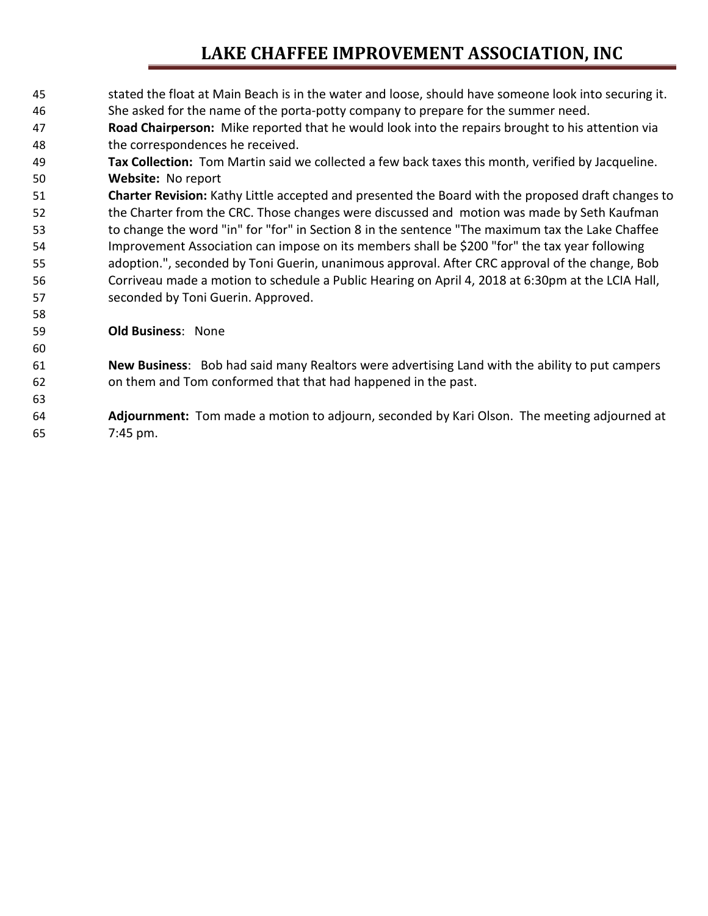### **LAKE CHAFFEE IMPROVEMENT ASSOCIATION, INC**

- stated the float at Main Beach is in the water and loose, should have someone look into securing it. She asked for the name of the porta-potty company to prepare for the summer need. **Road Chairperson:** Mike reported that he would look into the repairs brought to his attention via the correspondences he received. **Tax Collection:** Tom Martin said we collected a few back taxes this month, verified by Jacqueline. **Website:** No report **Charter Revision:** Kathy Little accepted and presented the Board with the proposed draft changes to the Charter from the CRC. Those changes were discussed and motion was made by Seth Kaufman to change the word "in" for "for" in Section 8 in the sentence "The maximum tax the Lake Chaffee Improvement Association can impose on its members shall be \$200 "for" the tax year following adoption.", seconded by Toni Guerin, unanimous approval. After CRC approval of the change, Bob Corriveau made a motion to schedule a Public Hearing on April 4, 2018 at 6:30pm at the LCIA Hall, seconded by Toni Guerin. Approved. **Old Business**: None **New Business**: Bob had said many Realtors were advertising Land with the ability to put campers on them and Tom conformed that that had happened in the past. **Adjournment:** Tom made a motion to adjourn, seconded by Kari Olson. The meeting adjourned at
- 7:45 pm.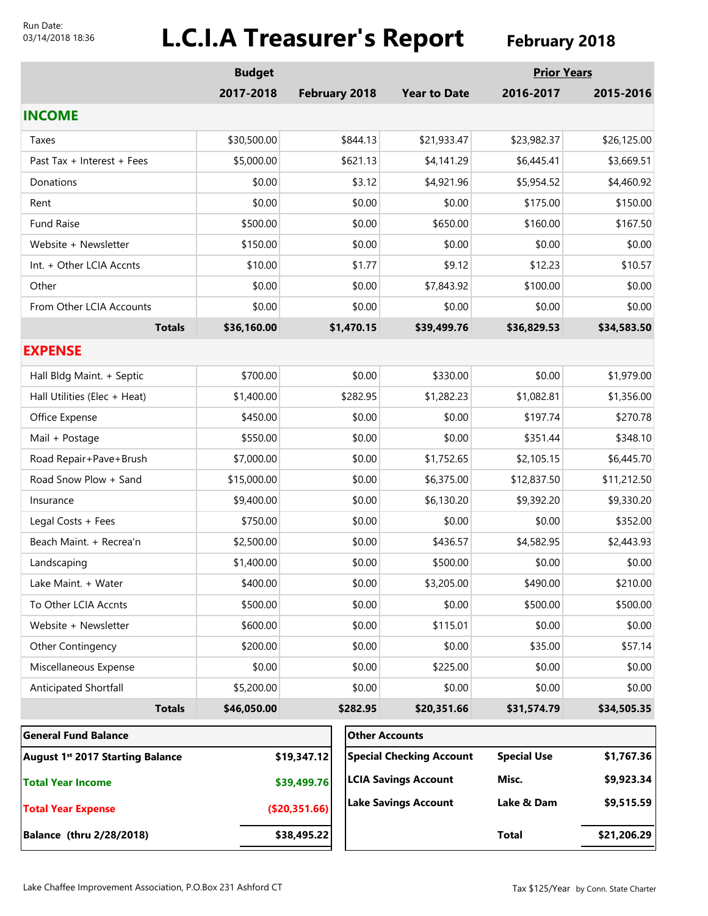#### Run Date: 03/14/2018 18:36

# **L.C.I.A Treasurer's Report** February 2018

|                                              | <b>Budget</b> |               |                      |                                 |                    | <b>Prior Years</b> |  |
|----------------------------------------------|---------------|---------------|----------------------|---------------------------------|--------------------|--------------------|--|
|                                              | 2017-2018     |               | <b>February 2018</b> | <b>Year to Date</b>             | 2016-2017          | 2015-2016          |  |
| <b>INCOME</b>                                |               |               |                      |                                 |                    |                    |  |
| Taxes                                        | \$30,500.00   | \$844.13      |                      | \$21,933.47                     | \$23,982.37        | \$26,125.00        |  |
| Past Tax + Interest + Fees                   | \$5,000.00    |               | \$621.13             | \$4,141.29                      | \$6,445.41         | \$3,669.51         |  |
| Donations                                    | \$0.00        |               | \$3.12               | \$4,921.96                      | \$5,954.52         | \$4,460.92         |  |
| Rent                                         | \$0.00        |               | \$0.00               | \$0.00                          | \$175.00           | \$150.00           |  |
| <b>Fund Raise</b>                            | \$500.00      |               | \$0.00               | \$650.00                        | \$160.00           | \$167.50           |  |
| Website + Newsletter                         | \$150.00      |               | \$0.00               | \$0.00                          | \$0.00             | \$0.00             |  |
| Int. + Other LCIA Accnts                     | \$10.00       |               | \$1.77               | \$9.12                          | \$12.23            | \$10.57            |  |
| Other                                        | \$0.00        |               | \$0.00               | \$7,843.92                      | \$100.00           | \$0.00             |  |
| From Other LCIA Accounts                     | \$0.00        | \$0.00        |                      | \$0.00                          | \$0.00             | \$0.00             |  |
| <b>Totals</b>                                | \$36,160.00   |               | \$1,470.15           | \$39,499.76                     | \$36,829.53        | \$34,583.50        |  |
| <b>EXPENSE</b>                               |               |               |                      |                                 |                    |                    |  |
| Hall Bldg Maint. + Septic                    | \$700.00      | \$0.00        |                      | \$330.00                        | \$0.00             | \$1,979.00         |  |
| Hall Utilities (Elec + Heat)                 | \$1,400.00    |               | \$282.95             | \$1,282.23                      | \$1,082.81         | \$1,356.00         |  |
| Office Expense                               | \$450.00      |               | \$0.00               | \$0.00                          | \$197.74           | \$270.78           |  |
| Mail + Postage                               | \$550.00      |               | \$0.00               | \$0.00                          | \$351.44           | \$348.10           |  |
| Road Repair+Pave+Brush                       | \$7,000.00    | \$0.00        |                      | \$1,752.65                      | \$2,105.15         | \$6,445.70         |  |
| Road Snow Plow + Sand                        | \$15,000.00   |               | \$0.00               | \$6,375.00                      | \$12,837.50        | \$11,212.50        |  |
| Insurance                                    | \$9,400.00    | \$0.00        |                      | \$6,130.20                      | \$9,392.20         | \$9,330.20         |  |
| Legal Costs + Fees                           | \$750.00      |               | \$0.00               | \$0.00                          | \$0.00             | \$352.00           |  |
| Beach Maint. + Recrea'n                      | \$2,500.00    | \$0.00        |                      | \$436.57                        | \$4,582.95         | \$2,443.93         |  |
| Landscaping                                  | \$1,400.00    | \$0.00        |                      | \$500.00                        | \$0.00             | \$0.00             |  |
| Lake Maint. + Water                          | \$400.00      | \$0.00        |                      | \$3,205.00                      | \$490.00           | \$210.00           |  |
| To Other LCIA Accnts                         | \$500.00      | \$0.00        |                      | \$0.00                          | \$500.00           | \$500.00           |  |
| Website + Newsletter                         | \$600.00      | \$0.00        |                      | \$115.01                        | \$0.00             | \$0.00             |  |
| Other Contingency                            | \$200.00      | \$0.00        |                      | \$0.00                          | \$35.00            | \$57.14            |  |
| Miscellaneous Expense                        | \$0.00        | \$0.00        |                      | \$225.00                        | \$0.00             | \$0.00             |  |
| Anticipated Shortfall                        | \$5,200.00    |               | \$0.00               | \$0.00                          | \$0.00             | \$0.00             |  |
| <b>Totals</b>                                | \$46,050.00   |               | \$282.95             | \$20,351.66                     | \$31,574.79        | \$34,505.35        |  |
| <b>General Fund Balance</b>                  |               |               |                      | <b>Other Accounts</b>           |                    |                    |  |
| August 1 <sup>st</sup> 2017 Starting Balance |               | \$19,347.12   |                      | <b>Special Checking Account</b> | <b>Special Use</b> | \$1,767.36         |  |
| <b>Total Year Income</b>                     |               | \$39,499.76   |                      | <b>LCIA Savings Account</b>     | Misc.              | \$9,923.34         |  |
| <b>Total Year Expense</b>                    |               | (\$20,351.66) |                      | <b>Lake Savings Account</b>     | Lake & Dam         | \$9,515.59         |  |
| <b>Balance (thru 2/28/2018)</b>              |               | \$38,495.22   |                      |                                 | <b>Total</b>       | \$21,206.29        |  |